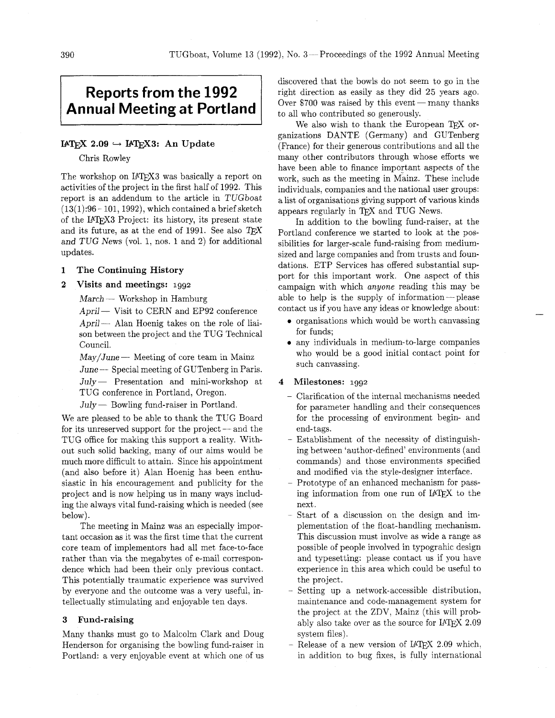# **Reports from the 1992 Annual Meeting at Portland**

# $IATFX$  2.09  $\rightarrow IATFX3$ : An Update

Chris Rowley

The workshop on IATFX3 was basically a report on activities of the project in the first half of 1992. This report is an addendum to the article in TUGboat  $(13(1):96 - 101, 1992)$ , which contained a brief sketch of the IATEX3 Project: its history, its present state and its future, as at the end of 1991. See also  $TEX$ and TUG News (vol. 1, nos. 1 and 2) for additional updates.

### **1 The Continuing History**

# **2 Visits and meetings:** 1992

 $March$  — Workshop in Hamburg

April - Visit to CERN and EP92 conference  $April-$  Alan Hoenig takes on the role of liaison between the project and the TUG Technical<br>Council.<br>May/June — Meeting of core team in Mainz Council.

 $June \rightarrow Special meeting of GUTenberg in Paris.$ 

July — Presentation and mini-workshop at TUG conference in Portland, Oregon.<br>
July — Bowling fund-raiser in Portland. TUG conference in Portland, Oregon.

We are pleased to be able to thank the TUG Board July  $-$  Bowling fund-raiser in Portland.<br>We are pleased to be able to thank the TUG Board<br>for its unreserved support for the project  $-$  and the TUG office for making this support a reality. Without such solid backing, many of our aims would be much more difficult to attain. Since his appointment (and also before it) Alan Hoenig has been enthusiastic in his encouragement and publicity for the project and is now helping us in many ways including the always vital fund-raising which is needed (see below).

The meeting in Mainz was an especially important occasion as it was the first time that the current core team of implementors had all met face-to-face rather than via the megabytes of e-mail correspondence which had been their only previous contact. This potentially traumatic experience was survived by everyone and the outcome was a very useful, intellectually stimulating and enjoyable ten days.

# **3 find-raising**

Many thanks must go to Malcolm Clark and Doug Henderson for organising the bowling fund-raiser in Portland: a very enjoyable event at which one of us discovered that the bowls do not seem to go in the right direction as easily as they did 25 years ago. Over \$700 was raised by this event  $-\text{many thanks}$ to all who contributed so generously.

We also wish to thank the European TFX organizations DANTE (Germany) and GUTenberg (France) for their generous contributions and all the many other contributors through whose efforts we have been able to finance important aspects of the work, such as the meeting in Mainz. These include individuals, companies and the national user groups: a list of organisations giving support of various kinds appears regularly in TFX and TUG News.

In addition to the bowling fund-raiser, at the Portland conference we started to look at the possibilities for larger-scale fund-raising from mediumsized and large companies and from trusts and foundations. ETP Services has offered substantial support for this important work. One aspect of this campaign with which anyone reading this may be able to help is the supply of information-please contact us if you have any ideas or knowledge about:

- organisations which would be worth canvassing for funds;
- any individuals in medium-to-large companies who would be a good initial contact point for such canvassing.

#### **4 Milestones:** 1992

- Clarification of the internal mechanisms needed for parameter handling and their consequences for the processing of environment begin- and end- tags.
- Establishment of the necessity of distinguishing between 'author-defined' environments (and commands) and those environments specified and modified via the style-designer interface.
- Prototype of an enhanced mechanism for passing information from one run of IATEX to the next.
- Start of a discussion on the design and implementation of the float-handling mechanism. This discussion must involve as wide a range as possible of people involved in typograhic design and typesetting: please contact us if you have experience in this area which could be useful to the project.
- Setting up a network-accessible distribution, maintenance and code-management system for the project at the ZDV, Mainz (this will probably also take over as the source for  $IATFX 2.09$ system files).
- $-$  Release of a new version of IATFX 2.09 which, in addition to bug fixes, is fully international